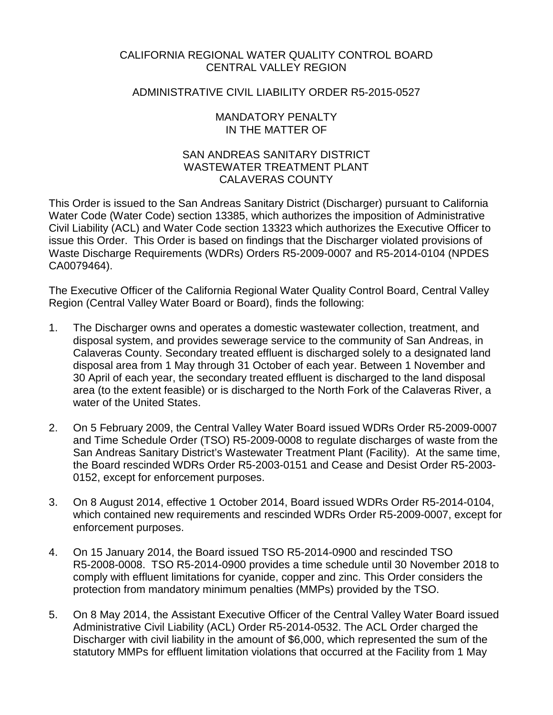### CALIFORNIA REGIONAL WATER QUALITY CONTROL BOARD CENTRAL VALLEY REGION

#### ADMINISTRATIVE CIVIL LIABILITY ORDER R5-2015-0527

#### MANDATORY PENALTY IN THE MATTER OF

### SAN ANDREAS SANITARY DISTRICT WASTEWATER TREATMENT PI ANT CALAVERAS COUNTY

This Order is issued to the San Andreas Sanitary District (Discharger) pursuant to California Water Code (Water Code) section 13385, which authorizes the imposition of Administrative Civil Liability (ACL) and Water Code section 13323 which authorizes the Executive Officer to issue this Order. This Order is based on findings that the Discharger violated provisions of Waste Discharge Requirements (WDRs) Orders R5-2009-0007 and R5-2014-0104 (NPDES CA0079464).

The Executive Officer of the California Regional Water Quality Control Board, Central Valley Region (Central Valley Water Board or Board), finds the following:

- 1. The Discharger owns and operates a domestic wastewater collection, treatment, and disposal system, and provides sewerage service to the community of San Andreas, in Calaveras County. Secondary treated effluent is discharged solely to a designated land disposal area from 1 May through 31 October of each year. Between 1 November and 30 April of each year, the secondary treated effluent is discharged to the land disposal area (to the extent feasible) or is discharged to the North Fork of the Calaveras River, a water of the United States.
- 2. On 5 February 2009, the Central Valley Water Board issued WDRs Order R5-2009-0007 and Time Schedule Order (TSO) R5-2009-0008 to regulate discharges of waste from the San Andreas Sanitary District's Wastewater Treatment Plant (Facility). At the same time, the Board rescinded WDRs Order R5-2003-0151 and Cease and Desist Order R5-2003- 0152, except for enforcement purposes.
- 3. On 8 August 2014, effective 1 October 2014, Board issued WDRs Order R5-2014-0104, which contained new requirements and rescinded WDRs Order R5-2009-0007, except for enforcement purposes.
- 4. On 15 January 2014, the Board issued TSO R5-2014-0900 and rescinded TSO R5-2008-0008. TSO R5-2014-0900 provides a time schedule until 30 November 2018 to comply with effluent limitations for cyanide, copper and zinc. This Order considers the protection from mandatory minimum penalties (MMPs) provided by the TSO.
- 5. On 8 May 2014, the Assistant Executive Officer of the Central Valley Water Board issued Administrative Civil Liability (ACL) Order R5-2014-0532. The ACL Order charged the Discharger with civil liability in the amount of \$6,000, which represented the sum of the statutory MMPs for effluent limitation violations that occurred at the Facility from 1 May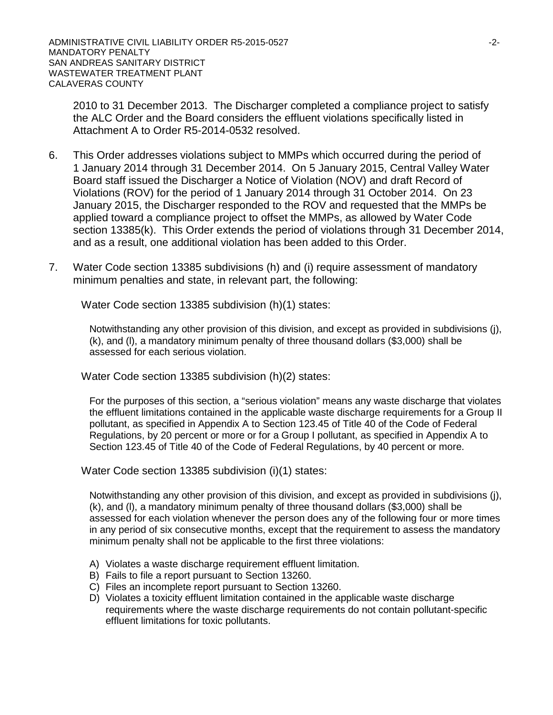2010 to 31 December 2013. The Discharger completed a compliance project to satisfy the ALC Order and the Board considers the effluent violations specifically listed in Attachment A to Order R5-2014-0532 resolved.

- 6. This Order addresses violations subject to MMPs which occurred during the period of 1 January 2014 through 31 December 2014. On 5 January 2015, Central Valley Water Board staff issued the Discharger a Notice of Violation (NOV) and draft Record of Violations (ROV) for the period of 1 January 2014 through 31 October 2014. On 23 January 2015, the Discharger responded to the ROV and requested that the MMPs be applied toward a compliance project to offset the MMPs, as allowed by Water Code section 13385(k). This Order extends the period of violations through 31 December 2014, and as a result, one additional violation has been added to this Order.
- 7. Water Code section 13385 subdivisions (h) and (i) require assessment of mandatory minimum penalties and state, in relevant part, the following:

Water Code section 13385 subdivision (h)(1) states:

Notwithstanding any other provision of this division, and except as provided in subdivisions (j), (k), and (l), a mandatory minimum penalty of three thousand dollars (\$3,000) shall be assessed for each serious violation.

Water Code section 13385 subdivision (h)(2) states:

For the purposes of this section, a "serious violation" means any waste discharge that violates the effluent limitations contained in the applicable waste discharge requirements for a Group II pollutant, as specified in Appendix A to Section 123.45 of Title 40 of the Code of Federal Regulations, by 20 percent or more or for a Group I pollutant, as specified in Appendix A to Section 123.45 of Title 40 of the Code of Federal Regulations, by 40 percent or more.

Water Code section 13385 subdivision (i)(1) states:

Notwithstanding any other provision of this division, and except as provided in subdivisions (j), (k), and (l), a mandatory minimum penalty of three thousand dollars (\$3,000) shall be assessed for each violation whenever the person does any of the following four or more times in any period of six consecutive months, except that the requirement to assess the mandatory minimum penalty shall not be applicable to the first three violations:

- A) Violates a waste discharge requirement effluent limitation.
- B) Fails to file a report pursuant to Section 13260.
- C) Files an incomplete report pursuant to Section 13260.
- D) Violates a toxicity effluent limitation contained in the applicable waste discharge requirements where the waste discharge requirements do not contain pollutant-specific effluent limitations for toxic pollutants.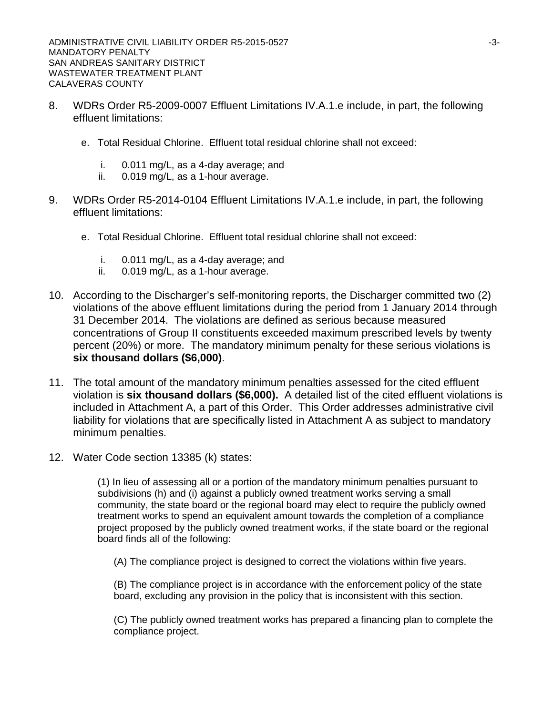- 8. WDRs Order R5-2009-0007 Effluent Limitations IV.A.1.e include, in part, the following effluent limitations:
	- e. Total Residual Chlorine. Effluent total residual chlorine shall not exceed:
		- i. 0.011 mg/L, as a 4-day average; and
		- ii. 0.019 mg/L, as a 1-hour average.
- 9. WDRs Order R5-2014-0104 Effluent Limitations IV.A.1.e include, in part, the following effluent limitations:
	- e. Total Residual Chlorine. Effluent total residual chlorine shall not exceed:
		- i. 0.011 mg/L, as a 4-day average; and
		- ii. 0.019 mg/L, as a 1-hour average.
- 10. According to the Discharger's self-monitoring reports, the Discharger committed two (2) violations of the above effluent limitations during the period from 1 January 2014 through 31 December 2014. The violations are defined as serious because measured concentrations of Group II constituents exceeded maximum prescribed levels by twenty percent (20%) or more. The mandatory minimum penalty for these serious violations is **six thousand dollars (\$6,000)**.
- 11. The total amount of the mandatory minimum penalties assessed for the cited effluent violation is **six thousand dollars (\$6,000).** A detailed list of the cited effluent violations is included in Attachment A, a part of this Order. This Order addresses administrative civil liability for violations that are specifically listed in Attachment A as subject to mandatory minimum penalties.
- 12. Water Code section 13385 (k) states:

(1) In lieu of assessing all or a portion of the mandatory minimum penalties pursuant to subdivisions (h) and (i) against a publicly owned treatment works serving a small community, the state board or the regional board may elect to require the publicly owned treatment works to spend an equivalent amount towards the completion of a compliance project proposed by the publicly owned treatment works, if the state board or the regional board finds all of the following:

(A) The compliance project is designed to correct the violations within five years.

(B) The compliance project is in accordance with the enforcement policy of the state board, excluding any provision in the policy that is inconsistent with this section.

(C) The publicly owned treatment works has prepared a financing plan to complete the compliance project.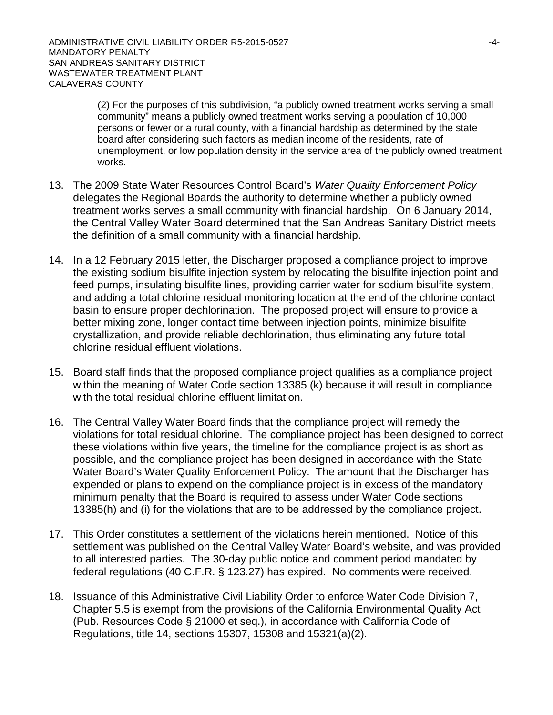(2) For the purposes of this subdivision, "a publicly owned treatment works serving a small community" means a publicly owned treatment works serving a population of 10,000 persons or fewer or a rural county, with a financial hardship as determined by the state board after considering such factors as median income of the residents, rate of unemployment, or low population density in the service area of the publicly owned treatment works.

- 13. The 2009 State Water Resources Control Board's *Water Quality Enforcement Policy* delegates the Regional Boards the authority to determine whether a publicly owned treatment works serves a small community with financial hardship. On 6 January 2014, the Central Valley Water Board determined that the San Andreas Sanitary District meets the definition of a small community with a financial hardship.
- 14. In a 12 February 2015 letter, the Discharger proposed a compliance project to improve the existing sodium bisulfite injection system by relocating the bisulfite injection point and feed pumps, insulating bisulfite lines, providing carrier water for sodium bisulfite system, and adding a total chlorine residual monitoring location at the end of the chlorine contact basin to ensure proper dechlorination. The proposed project will ensure to provide a better mixing zone, longer contact time between injection points, minimize bisulfite crystallization, and provide reliable dechlorination, thus eliminating any future total chlorine residual effluent violations.
- 15. Board staff finds that the proposed compliance project qualifies as a compliance project within the meaning of Water Code section 13385 (k) because it will result in compliance with the total residual chlorine effluent limitation.
- 16. The Central Valley Water Board finds that the compliance project will remedy the violations for total residual chlorine. The compliance project has been designed to correct these violations within five years, the timeline for the compliance project is as short as possible, and the compliance project has been designed in accordance with the State Water Board's Water Quality Enforcement Policy. The amount that the Discharger has expended or plans to expend on the compliance project is in excess of the mandatory minimum penalty that the Board is required to assess under Water Code sections 13385(h) and (i) for the violations that are to be addressed by the compliance project.
- 17. This Order constitutes a settlement of the violations herein mentioned. Notice of this settlement was published on the Central Valley Water Board's website, and was provided to all interested parties. The 30-day public notice and comment period mandated by federal regulations (40 C.F.R. § 123.27) has expired. No comments were received.
- 18. Issuance of this Administrative Civil Liability Order to enforce Water Code Division 7, Chapter 5.5 is exempt from the provisions of the California Environmental Quality Act (Pub. Resources Code § 21000 et seq.), in accordance with California Code of Regulations, title 14, sections 15307, 15308 and 15321(a)(2).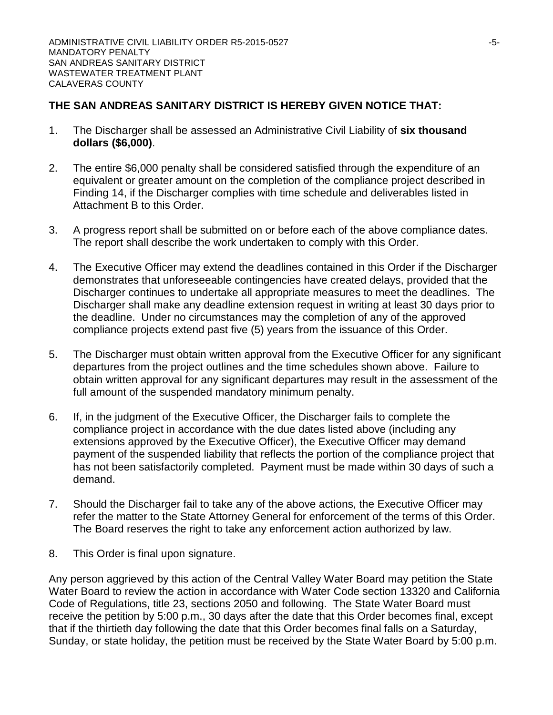# **THE SAN ANDREAS SANITARY DISTRICT IS HEREBY GIVEN NOTICE THAT:**

- 1. The Discharger shall be assessed an Administrative Civil Liability of **six thousand dollars (\$6,000)**.
- 2. The entire \$6,000 penalty shall be considered satisfied through the expenditure of an equivalent or greater amount on the completion of the compliance project described in Finding 14, if the Discharger complies with time schedule and deliverables listed in Attachment B to this Order.
- 3. A progress report shall be submitted on or before each of the above compliance dates. The report shall describe the work undertaken to comply with this Order.
- 4. The Executive Officer may extend the deadlines contained in this Order if the Discharger demonstrates that unforeseeable contingencies have created delays, provided that the Discharger continues to undertake all appropriate measures to meet the deadlines. The Discharger shall make any deadline extension request in writing at least 30 days prior to the deadline. Under no circumstances may the completion of any of the approved compliance projects extend past five (5) years from the issuance of this Order.
- 5. The Discharger must obtain written approval from the Executive Officer for any significant departures from the project outlines and the time schedules shown above. Failure to obtain written approval for any significant departures may result in the assessment of the full amount of the suspended mandatory minimum penalty.
- 6. If, in the judgment of the Executive Officer, the Discharger fails to complete the compliance project in accordance with the due dates listed above (including any extensions approved by the Executive Officer), the Executive Officer may demand payment of the suspended liability that reflects the portion of the compliance project that has not been satisfactorily completed. Payment must be made within 30 days of such a demand.
- 7. Should the Discharger fail to take any of the above actions, the Executive Officer may refer the matter to the State Attorney General for enforcement of the terms of this Order. The Board reserves the right to take any enforcement action authorized by law.
- 8. This Order is final upon signature.

Any person aggrieved by this action of the Central Valley Water Board may petition the State Water Board to review the action in accordance with Water Code section 13320 and California Code of Regulations, title 23, sections 2050 and following. The State Water Board must receive the petition by 5:00 p.m., 30 days after the date that this Order becomes final, except that if the thirtieth day following the date that this Order becomes final falls on a Saturday, Sunday, or state holiday, the petition must be received by the State Water Board by 5:00 p.m.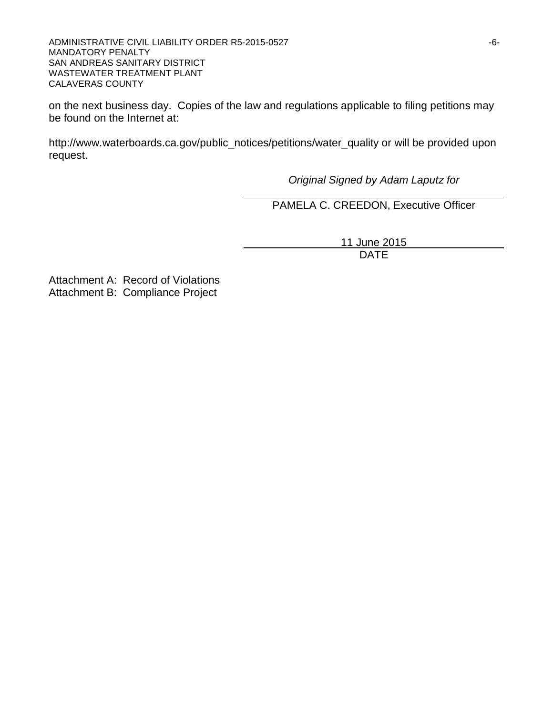ADMINISTRATIVE CIVIL LIABILITY ORDER R5-2015-0527 **FOR A SET A SET A SET A SET A SET A SET A SET A SET A SET A SET A** MANDATORY PENALTY SAN ANDREAS SANITARY DISTRICT WASTEWATER TREATMENT PLANT CALAVERAS COUNTY

on the next business day. Copies of the law and regulations applicable to filing petitions may be found on the Internet at:

http://www.waterboards.ca.gov/public\_notices/petitions/water\_quality or will be provided upon request.

*Original Signed by Adam Laputz for*

PAMELA C. CREEDON, Executive Officer

11 June 2015 DATE

Attachment A: Record of Violations Attachment B: Compliance Project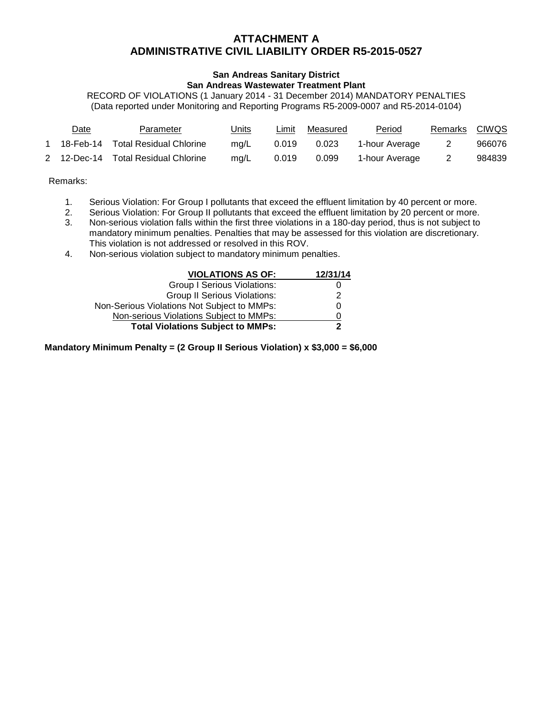### **ATTACHMENT A ADMINISTRATIVE CIVIL LIABILITY ORDER R5-2015-0527**

# **San Andreas Sanitary District**

#### **San Andreas Wastewater Treatment Plant**

RECORD OF VIOLATIONS (1 January 2014 - 31 December 2014) MANDATORY PENALTIES (Data reported under Monitoring and Reporting Programs R5-2009-0007 and R5-2014-0104)

| Date | Parameter                           | <u>Units</u> | Limit | Measured | <b>Period</b>  | Remarks | <b>CIWQS</b> |
|------|-------------------------------------|--------------|-------|----------|----------------|---------|--------------|
|      | 18-Feb-14 Total Residual Chlorine   | mg/L         | 0.019 | 0.023    | 1-hour Average | 2       | 966076       |
|      | 2 12-Dec-14 Total Residual Chlorine | ma/L         | 0.019 | 0.099    | 1-hour Average | 2       | 984839       |

Remarks:

- 1. Serious Violation: For Group I pollutants that exceed the effluent limitation by 40 percent or more.
- 2. Serious Violation: For Group II pollutants that exceed the effluent limitation by 20 percent or more.<br>3. Non-serious violation falls within the first three violations in a 180-day period, thus is not subject to
- 3. Non-serious violation falls within the first three violations in a 180-day period, thus is not subject to mandatory minimum penalties. Penalties that may be assessed for this violation are discretionary. This violation is not addressed or resolved in this ROV.
- 4. Non-serious violation subject to mandatory minimum penalties.

| <b>VIOLATIONS AS OF:</b>                    | 12/31/14 |
|---------------------------------------------|----------|
| <b>Group I Serious Violations:</b>          |          |
| <b>Group II Serious Violations:</b>         | 2        |
| Non-Serious Violations Not Subject to MMPs: |          |
| Non-serious Violations Subject to MMPs:     |          |
| <b>Total Violations Subject to MMPs:</b>    | 2        |

**Mandatory Minimum Penalty = (2 Group II Serious Violation) x \$3,000 = \$6,000**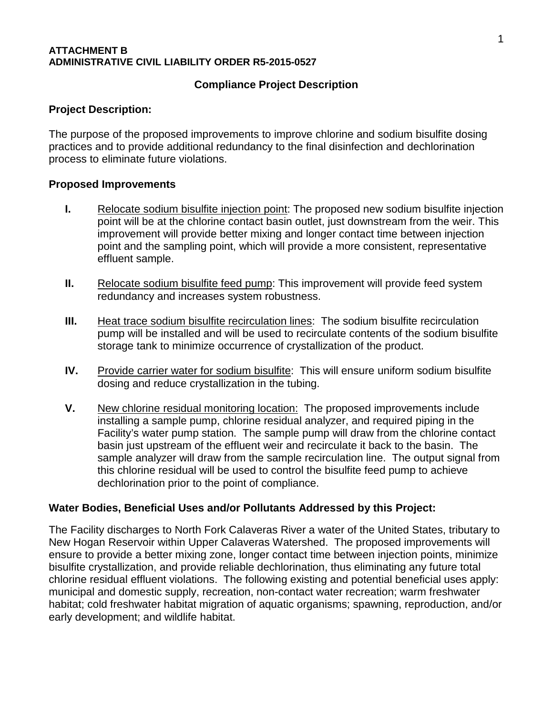#### **ATTACHMENT B ADMINISTRATIVE CIVIL LIABILITY ORDER R5-2015-0527**

# **Compliance Project Description**

#### **Project Description:**

The purpose of the proposed improvements to improve chlorine and sodium bisulfite dosing practices and to provide additional redundancy to the final disinfection and dechlorination process to eliminate future violations.

#### **Proposed Improvements**

- **I.** Relocate sodium bisulfite injection point: The proposed new sodium bisulfite injection point will be at the chlorine contact basin outlet, just downstream from the weir. This improvement will provide better mixing and longer contact time between injection point and the sampling point, which will provide a more consistent, representative effluent sample.
- **II.** Relocate sodium bisulfite feed pump: This improvement will provide feed system redundancy and increases system robustness.
- **III.** Heat trace sodium bisulfite recirculation lines: The sodium bisulfite recirculation pump will be installed and will be used to recirculate contents of the sodium bisulfite storage tank to minimize occurrence of crystallization of the product.
- **IV.** Provide carrier water for sodium bisulfite: This will ensure uniform sodium bisulfite dosing and reduce crystallization in the tubing.
- **V.** New chlorine residual monitoring location: The proposed improvements include installing a sample pump, chlorine residual analyzer, and required piping in the Facility's water pump station. The sample pump will draw from the chlorine contact basin just upstream of the effluent weir and recirculate it back to the basin. The sample analyzer will draw from the sample recirculation line. The output signal from this chlorine residual will be used to control the bisulfite feed pump to achieve dechlorination prior to the point of compliance.

#### **Water Bodies, Beneficial Uses and/or Pollutants Addressed by this Project:**

The Facility discharges to North Fork Calaveras River a water of the United States, tributary to New Hogan Reservoir within Upper Calaveras Watershed. The proposed improvements will ensure to provide a better mixing zone, longer contact time between injection points, minimize bisulfite crystallization, and provide reliable dechlorination, thus eliminating any future total chlorine residual effluent violations. The following existing and potential beneficial uses apply: municipal and domestic supply, recreation, non-contact water recreation; warm freshwater habitat; cold freshwater habitat migration of aquatic organisms; spawning, reproduction, and/or early development; and wildlife habitat.